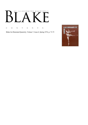### AN ILLUSTRATED QUARTERLY  $\lceil \cdot \rceil$ T<br>1 Ӄ

C O N T E N T S

Blake/An Illustrated Quarterly, Volume 7, Issue 4, Spring 1974, p. 73-75

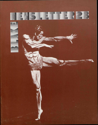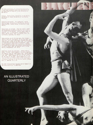The *Blake Newsletter, An Illustrated Quarterly,*  is published quarterly under the sponsorship of the Department of English of the University of New Mexico.

Editors: Morris Eaves, University of New Mexico, and Morton D. Paley, University of California, Berkeley.

Editorial Assistants: for production, Judith Wallick Page, University of New Mexico; and for subscriptions, Graham Conley, University of New Mexico.

Manuscripts are welcome. Send two copies, typed<br>and documented according to the *MLA Style Sheet*,<br>to either of the editors: Morris Eaves, Dept. of<br>English, Univ. of New Mexico, Albuquerque, N.M.<br>87131: Morton Paley, Dept.

Subscriptions are \$5 for one year, four issues;<br>special rate for individuals, \$4 for one year, sur-<br>face mail; for those subscribers overseas who want to<br>receive their issues by air mail, \$8. U.S. currency<br>or international

Some back issues are available. Address Morris<br>Eaves. Prices: whole numbers 1-8, bound together,<br>\$5 (special rate for individuals, \$4). Whole numbers<br>9-13, bound together, \$5 (special rate for individ-<br>uals, \$4). Whole num

The ISSN (International Standard Serial Number) of the *Blake Newsletter* is 0006-453X.

# **AN ILLUSTRATED QUARTERLY**